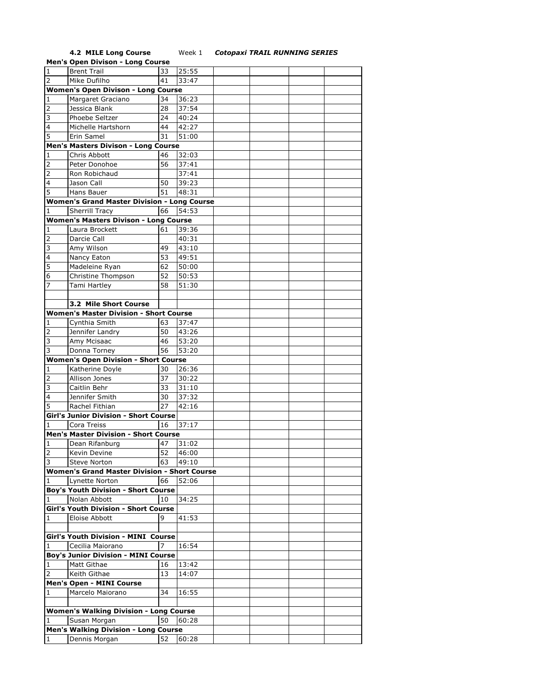## **4.2 MILE Long Course** Week 1 *Cotopaxi TRAIL RUNNING SERIES*

|                                           | <b>Men's Open Divison - Long Course</b>             |    |                    |  |  |  |  |  |  |
|-------------------------------------------|-----------------------------------------------------|----|--------------------|--|--|--|--|--|--|
| $\mathbf{1}$                              | <b>Brent Trail</b>                                  | 33 | 25:55              |  |  |  |  |  |  |
| $\overline{2}$                            | Mike Dufilho                                        | 41 | 33:47              |  |  |  |  |  |  |
| <b>Women's Open Divison - Long Course</b> |                                                     |    |                    |  |  |  |  |  |  |
| $\mathbf{1}$                              | Margaret Graciano                                   | 34 | 36:23              |  |  |  |  |  |  |
|                                           |                                                     |    |                    |  |  |  |  |  |  |
| $\overline{2}$                            | Jessica Blank                                       | 28 | 37:54              |  |  |  |  |  |  |
| 3                                         | Phoebe Seltzer                                      | 24 | 40:24              |  |  |  |  |  |  |
| $\overline{4}$                            | Michelle Hartshorn                                  | 44 | 42:27              |  |  |  |  |  |  |
| 5                                         | Erin Samel                                          | 31 | 51:00              |  |  |  |  |  |  |
|                                           | Men's Masters Divison - Long Course                 |    |                    |  |  |  |  |  |  |
| 1                                         | Chris Abbott                                        | 46 | 32:03              |  |  |  |  |  |  |
| 2                                         | Peter Donohoe                                       | 56 | 37:41              |  |  |  |  |  |  |
| $\overline{2}$                            | Ron Robichaud                                       |    | 37:41              |  |  |  |  |  |  |
| $\overline{\mathbf{4}}$                   | Jason Call                                          | 50 | 39:23              |  |  |  |  |  |  |
| 5                                         | Hans Bauer                                          | 51 | 48:31              |  |  |  |  |  |  |
|                                           | <b>Women's Grand Master Division - Long Course</b>  |    |                    |  |  |  |  |  |  |
|                                           |                                                     | 66 | $\overline{5}4:53$ |  |  |  |  |  |  |
| 1                                         | <b>Sherrill Tracy</b>                               |    |                    |  |  |  |  |  |  |
|                                           | Women's Masters Divison - Long Course               |    |                    |  |  |  |  |  |  |
| 1                                         | Laura Brockett                                      | 61 | 39:36              |  |  |  |  |  |  |
| 2                                         | Darcie Call                                         |    | 40:31              |  |  |  |  |  |  |
| 3                                         | Amy Wilson                                          | 49 | 43:10              |  |  |  |  |  |  |
| $\overline{\mathbf{4}}$                   | Nancy Eaton                                         | 53 | 49:51              |  |  |  |  |  |  |
| 5                                         | Madeleine Ryan                                      | 62 | 50:00              |  |  |  |  |  |  |
| 6                                         | Christine Thompson                                  | 52 | 50:53              |  |  |  |  |  |  |
| 7                                         | Tami Hartley                                        | 58 | 51:30              |  |  |  |  |  |  |
|                                           |                                                     |    |                    |  |  |  |  |  |  |
|                                           | 3.2 Mile Short Course                               |    |                    |  |  |  |  |  |  |
|                                           | <b>Women's Master Division - Short Course</b>       |    |                    |  |  |  |  |  |  |
| 1                                         | Cynthia Smith                                       | 63 | 37:47              |  |  |  |  |  |  |
|                                           | Jennifer Landry                                     | 50 | 43:26              |  |  |  |  |  |  |
| 3                                         | Amy Mcisaac                                         | 46 | 53:20              |  |  |  |  |  |  |
| 3                                         | Donna Torney                                        | 56 | 53:20              |  |  |  |  |  |  |
|                                           |                                                     |    |                    |  |  |  |  |  |  |
|                                           | <b>Women's Open Division - Short Course</b>         |    |                    |  |  |  |  |  |  |
| $\mathbf{1}$                              | Katherine Doyle                                     | 30 | 26:36              |  |  |  |  |  |  |
| 2                                         | Allison Jones                                       | 37 | 30:22              |  |  |  |  |  |  |
| 3                                         | Caitlin Behr                                        | 33 | 31:10              |  |  |  |  |  |  |
| 4                                         | Jennifer Smith                                      | 30 | 37:32              |  |  |  |  |  |  |
| 5                                         | Rachel Fithian                                      | 27 | 42:16              |  |  |  |  |  |  |
|                                           | <b>Girl's Junior Division - Short Course</b>        |    |                    |  |  |  |  |  |  |
| 1                                         | Cora Treiss                                         | 16 | 37:17              |  |  |  |  |  |  |
|                                           | <b>Men's Master Division - Short Course</b>         |    |                    |  |  |  |  |  |  |
| 1                                         | Dean Rifanburg                                      | 47 | 31:02              |  |  |  |  |  |  |
| $\overline{2}$                            | Kevin Devine                                        | 52 | 46:00              |  |  |  |  |  |  |
| 3                                         | <b>Steve Norton</b>                                 | 63 | 49:10              |  |  |  |  |  |  |
|                                           | <b>Women's Grand Master Division - Short Course</b> |    |                    |  |  |  |  |  |  |
|                                           |                                                     |    |                    |  |  |  |  |  |  |
| 1                                         | Lynette Norton                                      | 66 | 52:06              |  |  |  |  |  |  |
|                                           | <b>Boy's Youth Division - Short Course</b>          |    |                    |  |  |  |  |  |  |
| 1                                         | Nolan Abbott                                        | 10 | 34:25              |  |  |  |  |  |  |
|                                           | <b>Girl's Youth Division - Short Course</b>         |    |                    |  |  |  |  |  |  |
| 1                                         | Eloise Abbott                                       | 9  | 41:53              |  |  |  |  |  |  |
|                                           |                                                     |    |                    |  |  |  |  |  |  |
|                                           | <b>Girl's Youth Division - MINI Course</b>          |    |                    |  |  |  |  |  |  |
| 1                                         | Cecilia Maiorano                                    | 7  | 16:54              |  |  |  |  |  |  |
|                                           | <b>Boy's Junior Division - MINI Course</b>          |    |                    |  |  |  |  |  |  |
| 1                                         | <b>Matt Githae</b>                                  | 16 | 13:42              |  |  |  |  |  |  |
| 2                                         | Keith Githae                                        | 13 | 14:07              |  |  |  |  |  |  |
|                                           | <b>Men's Open - MINI Course</b>                     |    |                    |  |  |  |  |  |  |
| 1                                         | Marcelo Maiorano                                    | 34 | 16:55              |  |  |  |  |  |  |
|                                           |                                                     |    |                    |  |  |  |  |  |  |
|                                           | <b>Women's Walking Division - Long Course</b>       |    |                    |  |  |  |  |  |  |
| 1                                         | Susan Morgan                                        | 50 | 60:28              |  |  |  |  |  |  |
|                                           | <b>Men's Walking Division - Long Course</b>         |    |                    |  |  |  |  |  |  |
| $\vert$ 1                                 | Dennis Morgan                                       | 52 | 60:28              |  |  |  |  |  |  |